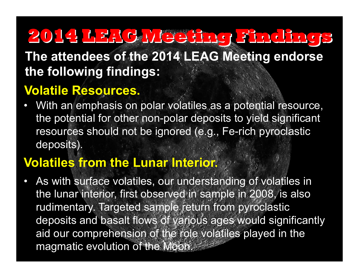**The attendees of the 2014 LEAG Meeting endorse the following findings:** 

## **Volatile Resources.**

With an emphasis on polar volatiles as a potential resource, the potential for other non-polar deposits to yield significant resources should not be ignored (e.g., Fe-rich pyroclastic deposits).

## **Volatiles from the Lunar Interior.**

As with surface volatiles, our understanding of volatiles in the lunar interior, first observed in sample in 2008, is also rudimentary. Targeted sample return from pyroclastic deposits and basalt flows of various ages would significantly aid our comprehension of the role volatiles played in the magmatic evolution of the Moon.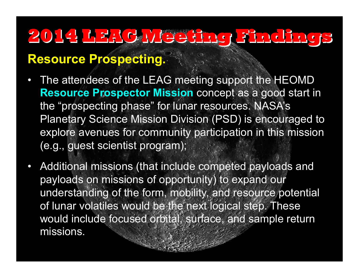### **Resource Prospecting.**

- The attendees of the LEAG meeting support the HEOMD **Resource Prospector Mission** concept as a good start in the "prospecting phase" for lunar resources. NASA's Planetary Science Mission Division (PSD) is encouraged to explore avenues for community participation in this mission (e.g., guest scientist program);
- Additional missions (that include competed payloads and payloads on missions of opportunity) to expand our understanding of the form, mobility, and resource potential of lunar volatiles would be the next logical step. These would include focused orbital, surface, and sample return missions.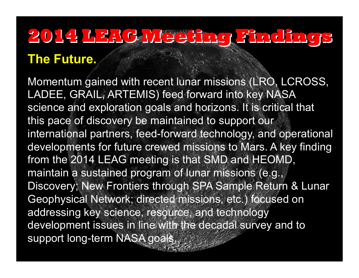## **The Future.**

Momentum gained with recent lunar missions (LRO, LCROSS, LADEE, GRAIL, ARTEMIS) feed forward into key NASA science and exploration goals and horizons. It is critical that this pace of discovery be maintained to support our international partners, feed-forward technology, and operational developments for future crewed missions to Mars. A key finding from the 2014 LEAG meeting is that SMD and HEOMD, maintain a sustained program of lunar missions (e.g., Discovery; New Frontiers through SPA Sample Return & Lunar Geophysical Network; directed missions, etc.) focused on addressing key science, resource, and technology development issues in line with the decadal survey and to support long-term NASA goals.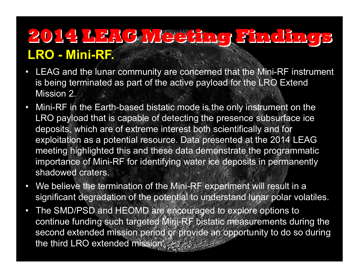## **LRO - Mini-RF. 2014 LEAG Meeting Findings**

- LEAG and the lunar community are concerned that the Mini-RF instrument is being terminated as part of the active payload for the LRO Extend Mission 2.
- Mini-RF in the Earth-based bistatic mode is the only instrument on the LRO payload that is capable of detecting the presence subsurface ice deposits, which are of extreme interest both scientifically and for exploitation as a potential resource. Data presented at the 2014 LEAG meeting highlighted this and these data demonstrate the programmatic importance of Mini-RF for identifying water ice deposits in permanently shadowed craters.
- We believe the termination of the Mini-RF experiment will result in a significant degradation of the potential to understand lunar polar volatiles.
- The SMD/PSD and HEOMD are encouraged to explore options to continue funding such targeted Mini-RF bistatic measurements during the second extended mission period or provide an opportunity to do so during the third LRO extended mission.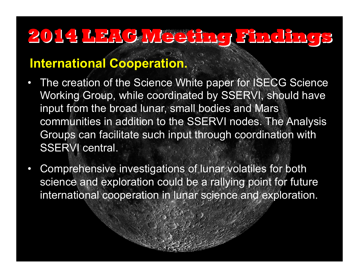#### **International Cooperation.**

- The creation of the Science White paper for ISECG Science Working Group, while coordinated by SSERVI, should have input from the broad lunar, small bodies and Mars communities in addition to the SSERVI nodes. The Analysis Groups can facilitate such input through coordination with SSERVI central.
- Comprehensive investigations of lunar volatiles for both science and exploration could be a rallying point for future international cooperation in lunar science and exploration.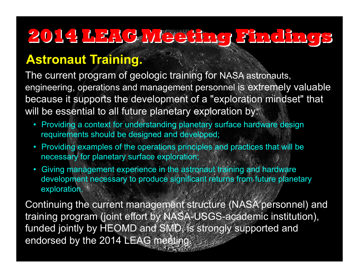## **Astronaut Training.**

The current program of geologic training for NASA astronauts, engineering, operations and management personnel is extremely valuable because it supports the development of a "exploration mindset" that will be essential to all future planetary exploration by:

- Providing a context for understanding planetary surface hardware design requirements should be designed and developed;
- Providing examples of the operations principles and practices that will be necessary for planetary surface exploration;
- Giving management experience in the astronaut training and hardware development necessary to produce significant returns from future planetary exploration.

Continuing the current management structure (NASA personnel) and training program (joint effort by NASA-USGS-academic institution), funded jointly by HEOMD and SMD, is strongly supported and endorsed by the 2014 LEAG meeting.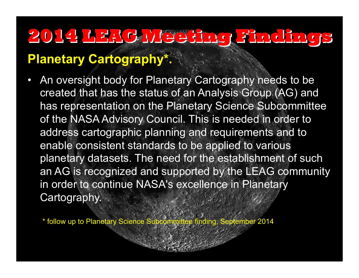## **Planetary Cartography\*.**

• An oversight body for Planetary Cartography needs to be created that has the status of an Analysis Group (AG) and has representation on the Planetary Science Subcommittee of the NASA Advisory Council. This is needed in order to address cartographic planning and requirements and to enable consistent standards to be applied to various planetary datasets. The need for the establishment of such an AG is recognized and supported by the LEAG community in order to continue NASA's excellence in Planetary Cartography.

\* follow up to Planetary Science Subcommittee finding, September 2014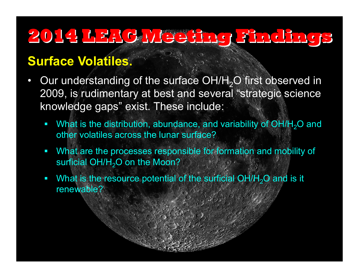## **Surface Volatiles.**

- Our understanding of the surface OH/H<sub>2</sub>O first observed in 2009, is rudimentary at best and several "strategic science knowledge gaps" exist. These include:
	- What is the distribution, abundance, and variability of OH/H<sub>2</sub>O and other volatiles across the lunar surface?
	- § What are the processes responsible for formation and mobility of surficial  $OH/H<sub>2</sub>O$  on the Moon?
	- What is the resource potential of the surficial  $OH/H<sub>2</sub>O$  and is it renewable?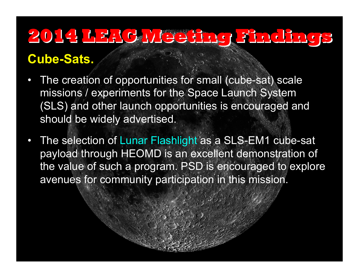### **Cube-Sats.**

- The creation of opportunities for small (cube-sat) scale missions / experiments for the Space Launch System (SLS) and other launch opportunities is encouraged and should be widely advertised.
- The selection of Lunar Flashlight as a SLS-EM1 cube-sat payload through HEOMD is an excellent demonstration of the value of such a program. PSD is encouraged to explore avenues for community participation in this mission.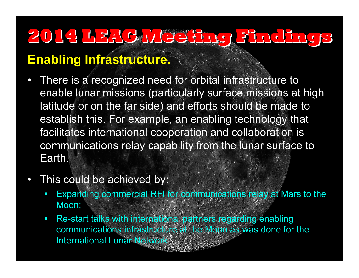## **Enabling Infrastructure.**

- There is a recognized need for orbital infrastructure to enable lunar missions (particularly surface missions at high latitude or on the far side) and efforts should be made to establish this. For example, an enabling technology that facilitates international cooperation and collaboration is communications relay capability from the lunar surface to Earth.
- This could be achieved by:
	- Expanding commercial RFI for communications relay at Mars to the Moon;
	- Re-start talks with international partners regarding enabling communications infrastructure at the Moon as was done for the **International Lunar Network.**